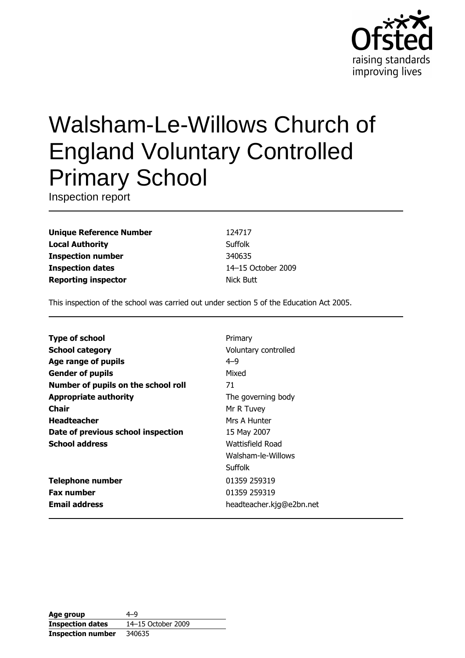

# **Walsham-Le-Willows Church of England Voluntary Controlled Primary School**

Inspection report

**Unique Reference Number Local Authority Inspection number Inspection dates Reporting inspector** 

124717 Suffolk 340635 14-15 October 2009 **Nick Butt** 

This inspection of the school was carried out under section 5 of the Education Act 2005.

| <b>Type of school</b>               | Primary                  |
|-------------------------------------|--------------------------|
| <b>School category</b>              | Voluntary controlled     |
| Age range of pupils                 | $4 - 9$                  |
| <b>Gender of pupils</b>             | Mixed                    |
| Number of pupils on the school roll | 71                       |
| <b>Appropriate authority</b>        | The governing body       |
| Chair                               | Mr R Tuvey               |
| <b>Headteacher</b>                  | Mrs A Hunter             |
| Date of previous school inspection  | 15 May 2007              |
| <b>School address</b>               | Wattisfield Road         |
|                                     | Walsham-le-Willows       |
|                                     | Suffolk                  |
| <b>Telephone number</b>             | 01359 259319             |
| <b>Fax number</b>                   | 01359 259319             |
| <b>Email address</b>                | headteacher.kjg@e2bn.net |
|                                     |                          |

| Age group                | 4–9                |
|--------------------------|--------------------|
| <b>Inspection dates</b>  | 14–15 October 2009 |
| <b>Inspection number</b> | 340635             |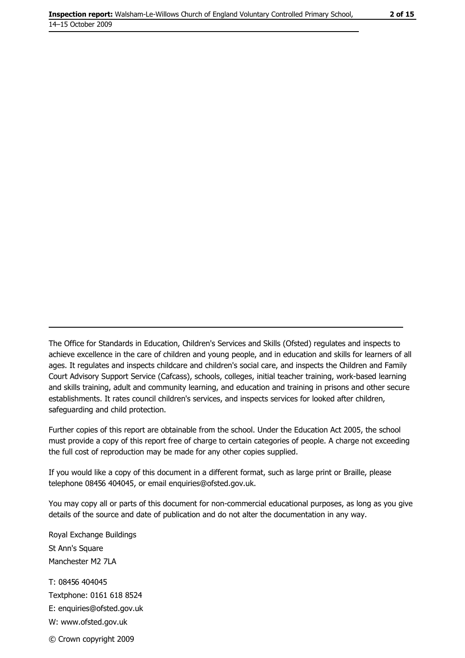The Office for Standards in Education, Children's Services and Skills (Ofsted) regulates and inspects to achieve excellence in the care of children and young people, and in education and skills for learners of all ages. It regulates and inspects childcare and children's social care, and inspects the Children and Family Court Advisory Support Service (Cafcass), schools, colleges, initial teacher training, work-based learning and skills training, adult and community learning, and education and training in prisons and other secure establishments. It rates council children's services, and inspects services for looked after children, safequarding and child protection.

Further copies of this report are obtainable from the school. Under the Education Act 2005, the school must provide a copy of this report free of charge to certain categories of people. A charge not exceeding the full cost of reproduction may be made for any other copies supplied.

If you would like a copy of this document in a different format, such as large print or Braille, please telephone 08456 404045, or email enquiries@ofsted.gov.uk.

You may copy all or parts of this document for non-commercial educational purposes, as long as you give details of the source and date of publication and do not alter the documentation in any way.

Royal Exchange Buildings St Ann's Square Manchester M2 7LA T: 08456 404045 Textphone: 0161 618 8524 E: enquiries@ofsted.gov.uk W: www.ofsted.gov.uk © Crown copyright 2009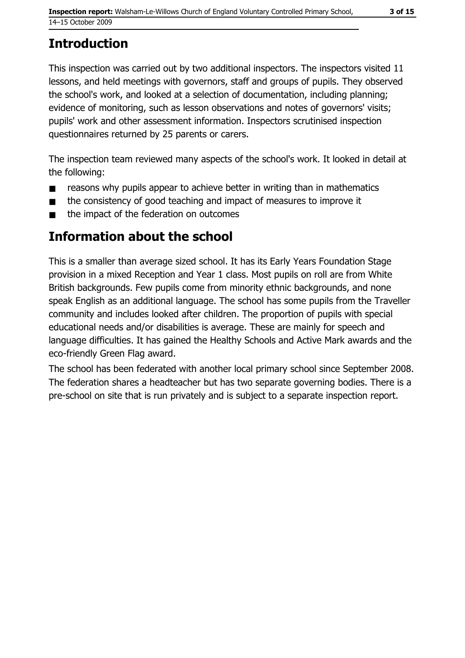# **Introduction**

This inspection was carried out by two additional inspectors. The inspectors visited 11 lessons, and held meetings with governors, staff and groups of pupils. They observed the school's work, and looked at a selection of documentation, including planning; evidence of monitoring, such as lesson observations and notes of governors' visits; pupils' work and other assessment information. Inspectors scrutinised inspection questionnaires returned by 25 parents or carers.

The inspection team reviewed many aspects of the school's work. It looked in detail at the following:

- reasons why pupils appear to achieve better in writing than in mathematics  $\blacksquare$
- the consistency of good teaching and impact of measures to improve it  $\blacksquare$
- the impact of the federation on outcomes

# Information about the school

This is a smaller than average sized school. It has its Early Years Foundation Stage provision in a mixed Reception and Year 1 class. Most pupils on roll are from White British backgrounds. Few pupils come from minority ethnic backgrounds, and none speak English as an additional language. The school has some pupils from the Traveller community and includes looked after children. The proportion of pupils with special educational needs and/or disabilities is average. These are mainly for speech and language difficulties. It has gained the Healthy Schools and Active Mark awards and the eco-friendly Green Flag award.

The school has been federated with another local primary school since September 2008. The federation shares a headteacher but has two separate governing bodies. There is a pre-school on site that is run privately and is subject to a separate inspection report.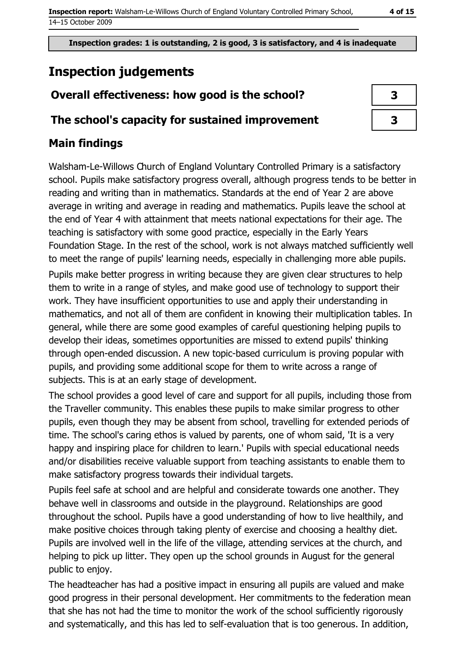# **Inspection judgements**

# Overall effectiveness: how good is the school?

### The school's capacity for sustained improvement

| 3 |  |
|---|--|
| 3 |  |

# **Main findings**

Walsham-Le-Willows Church of England Voluntary Controlled Primary is a satisfactory school. Pupils make satisfactory progress overall, although progress tends to be better in reading and writing than in mathematics. Standards at the end of Year 2 are above average in writing and average in reading and mathematics. Pupils leave the school at the end of Year 4 with attainment that meets national expectations for their age. The teaching is satisfactory with some good practice, especially in the Early Years Foundation Stage. In the rest of the school, work is not always matched sufficiently well to meet the range of pupils' learning needs, especially in challenging more able pupils. Pupils make better progress in writing because they are given clear structures to help them to write in a range of styles, and make good use of technology to support their work. They have insufficient opportunities to use and apply their understanding in mathematics, and not all of them are confident in knowing their multiplication tables. In general, while there are some good examples of careful questioning helping pupils to develop their ideas, sometimes opportunities are missed to extend pupils' thinking through open-ended discussion. A new topic-based curriculum is proving popular with pupils, and providing some additional scope for them to write across a range of subjects. This is at an early stage of development.

The school provides a good level of care and support for all pupils, including those from the Traveller community. This enables these pupils to make similar progress to other pupils, even though they may be absent from school, travelling for extended periods of time. The school's caring ethos is valued by parents, one of whom said, 'It is a very happy and inspiring place for children to learn.' Pupils with special educational needs and/or disabilities receive valuable support from teaching assistants to enable them to make satisfactory progress towards their individual targets.

Pupils feel safe at school and are helpful and considerate towards one another. They behave well in classrooms and outside in the playground. Relationships are good throughout the school. Pupils have a good understanding of how to live healthily, and make positive choices through taking plenty of exercise and choosing a healthy diet. Pupils are involved well in the life of the village, attending services at the church, and helping to pick up litter. They open up the school grounds in August for the general public to enjov.

The headteacher has had a positive impact in ensuring all pupils are valued and make good progress in their personal development. Her commitments to the federation mean that she has not had the time to monitor the work of the school sufficiently rigorously and systematically, and this has led to self-evaluation that is too generous. In addition,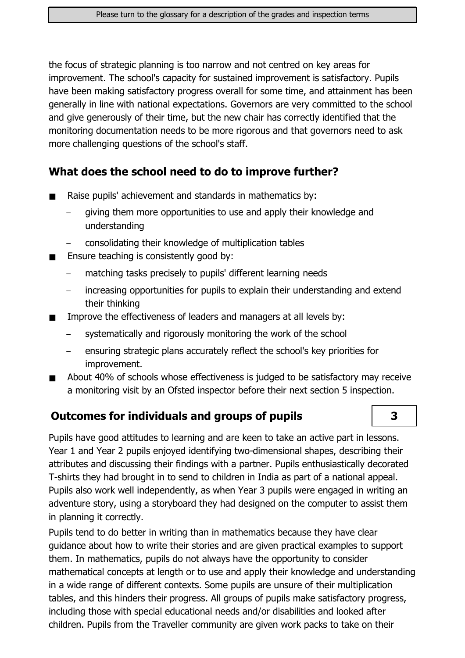the focus of strategic planning is too narrow and not centred on key areas for improvement. The school's capacity for sustained improvement is satisfactory. Pupils have been making satisfactory progress overall for some time, and attainment has been generally in line with national expectations. Governors are very committed to the school and give generously of their time, but the new chair has correctly identified that the monitoring documentation needs to be more rigorous and that governors need to ask more challenging questions of the school's staff.

# What does the school need to do to improve further?

- Raise pupils' achievement and standards in mathematics by:
	- giving them more opportunities to use and apply their knowledge and understanding
	- consolidating their knowledge of multiplication tables
- Ensure teaching is consistently good by:
	- matching tasks precisely to pupils' different learning needs
	- increasing opportunities for pupils to explain their understanding and extend their thinking
- Improve the effectiveness of leaders and managers at all levels by:
	- systematically and rigorously monitoring the work of the school
	- ensuring strategic plans accurately reflect the school's key priorities for improvement.
- About 40% of schools whose effectiveness is judged to be satisfactory may receive  $\blacksquare$ a monitoring visit by an Ofsted inspector before their next section 5 inspection.

## **Outcomes for individuals and groups of pupils**

Pupils have good attitudes to learning and are keen to take an active part in lessons. Year 1 and Year 2 pupils enjoyed identifying two-dimensional shapes, describing their attributes and discussing their findings with a partner. Pupils enthusiastically decorated T-shirts they had brought in to send to children in India as part of a national appeal. Pupils also work well independently, as when Year 3 pupils were engaged in writing an adventure story, using a storyboard they had designed on the computer to assist them in planning it correctly.

Pupils tend to do better in writing than in mathematics because they have clear quidance about how to write their stories and are given practical examples to support them. In mathematics, pupils do not always have the opportunity to consider mathematical concepts at length or to use and apply their knowledge and understanding in a wide range of different contexts. Some pupils are unsure of their multiplication tables, and this hinders their progress. All groups of pupils make satisfactory progress, including those with special educational needs and/or disabilities and looked after children. Pupils from the Traveller community are given work packs to take on their

### $\overline{\mathbf{3}}$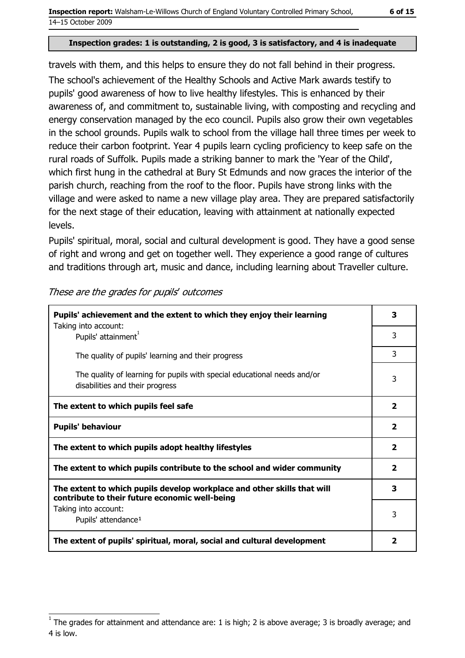travels with them, and this helps to ensure they do not fall behind in their progress.

The school's achievement of the Healthy Schools and Active Mark awards testify to pupils' good awareness of how to live healthy lifestyles. This is enhanced by their awareness of, and commitment to, sustainable living, with composting and recycling and energy conservation managed by the eco council. Pupils also grow their own vegetables in the school grounds. Pupils walk to school from the village hall three times per week to reduce their carbon footprint. Year 4 pupils learn cycling proficiency to keep safe on the rural roads of Suffolk. Pupils made a striking banner to mark the 'Year of the Child', which first hung in the cathedral at Bury St Edmunds and now graces the interior of the parish church, reaching from the roof to the floor. Pupils have strong links with the village and were asked to name a new village play area. They are prepared satisfactorily for the next stage of their education, leaving with attainment at nationally expected levels.

Pupils' spiritual, moral, social and cultural development is good. They have a good sense of right and wrong and get on together well. They experience a good range of cultures and traditions through art, music and dance, including learning about Traveller culture.

| Pupils' achievement and the extent to which they enjoy their learning                                                     |                         |
|---------------------------------------------------------------------------------------------------------------------------|-------------------------|
| Taking into account:<br>Pupils' attainment <sup>1</sup>                                                                   | 3                       |
| The quality of pupils' learning and their progress                                                                        | 3                       |
| The quality of learning for pupils with special educational needs and/or<br>disabilities and their progress               | 3                       |
| The extent to which pupils feel safe                                                                                      | $\overline{\mathbf{2}}$ |
| <b>Pupils' behaviour</b>                                                                                                  | $\mathbf{2}$            |
| The extent to which pupils adopt healthy lifestyles                                                                       | $\mathbf{2}$            |
| The extent to which pupils contribute to the school and wider community                                                   | $\overline{\mathbf{2}}$ |
| The extent to which pupils develop workplace and other skills that will<br>contribute to their future economic well-being |                         |
| Taking into account:<br>Pupils' attendance <sup>1</sup>                                                                   | 3                       |
| The extent of pupils' spiritual, moral, social and cultural development                                                   | 2                       |

These are the grades for pupils' outcomes

The grades for attainment and attendance are: 1 is high; 2 is above average; 3 is broadly average; and 4 is low.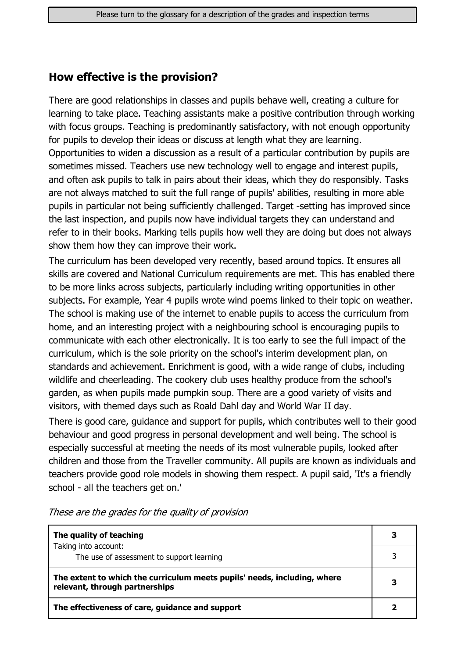## How effective is the provision?

There are good relationships in classes and pupils behave well, creating a culture for learning to take place. Teaching assistants make a positive contribution through working with focus groups. Teaching is predominantly satisfactory, with not enough opportunity for pupils to develop their ideas or discuss at length what they are learning. Opportunities to widen a discussion as a result of a particular contribution by pupils are sometimes missed. Teachers use new technology well to engage and interest pupils, and often ask pupils to talk in pairs about their ideas, which they do responsibly. Tasks are not always matched to suit the full range of pupils' abilities, resulting in more able pupils in particular not being sufficiently challenged. Target -setting has improved since the last inspection, and pupils now have individual targets they can understand and refer to in their books. Marking tells pupils how well they are doing but does not always show them how they can improve their work.

The curriculum has been developed very recently, based around topics. It ensures all skills are covered and National Curriculum requirements are met. This has enabled there to be more links across subjects, particularly including writing opportunities in other subjects. For example, Year 4 pupils wrote wind poems linked to their topic on weather. The school is making use of the internet to enable pupils to access the curriculum from home, and an interesting project with a neighbouring school is encouraging pupils to communicate with each other electronically. It is too early to see the full impact of the curriculum, which is the sole priority on the school's interim development plan, on standards and achievement. Enrichment is good, with a wide range of clubs, including wildlife and cheerleading. The cookery club uses healthy produce from the school's garden, as when pupils made pumpkin soup. There are a good variety of visits and visitors, with themed days such as Roald Dahl day and World War II day.

There is good care, guidance and support for pupils, which contributes well to their good behaviour and good progress in personal development and well being. The school is especially successful at meeting the needs of its most vulnerable pupils, looked after children and those from the Traveller community. All pupils are known as individuals and teachers provide good role models in showing them respect. A pupil said, 'It's a friendly school - all the teachers get on.'

| The quality of teaching                                                                                    |   |
|------------------------------------------------------------------------------------------------------------|---|
| Taking into account:<br>The use of assessment to support learning                                          |   |
| The extent to which the curriculum meets pupils' needs, including, where<br>relevant, through partnerships | 3 |
| The effectiveness of care, guidance and support                                                            |   |

These are the grades for the quality of provision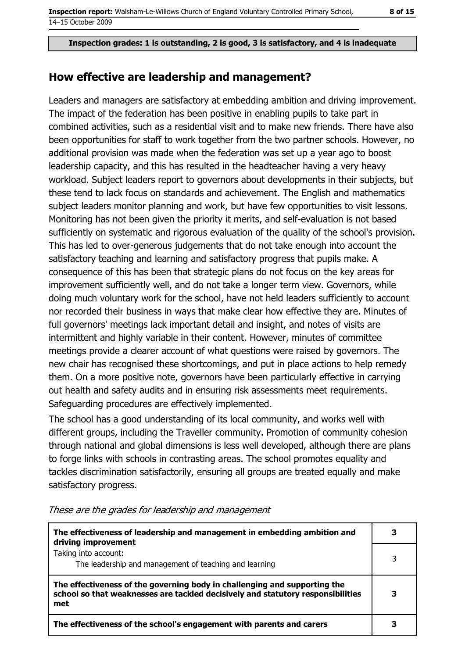#### How effective are leadership and management?

Leaders and managers are satisfactory at embedding ambition and driving improvement. The impact of the federation has been positive in enabling pupils to take part in combined activities, such as a residential visit and to make new friends. There have also been opportunities for staff to work together from the two partner schools. However, no additional provision was made when the federation was set up a year ago to boost leadership capacity, and this has resulted in the headteacher having a very heavy workload. Subject leaders report to governors about developments in their subjects, but these tend to lack focus on standards and achievement. The English and mathematics subject leaders monitor planning and work, but have few opportunities to visit lessons. Monitoring has not been given the priority it merits, and self-evaluation is not based sufficiently on systematic and rigorous evaluation of the quality of the school's provision. This has led to over-generous judgements that do not take enough into account the satisfactory teaching and learning and satisfactory progress that pupils make. A consequence of this has been that strategic plans do not focus on the key areas for improvement sufficiently well, and do not take a longer term view. Governors, while doing much voluntary work for the school, have not held leaders sufficiently to account nor recorded their business in ways that make clear how effective they are. Minutes of full governors' meetings lack important detail and insight, and notes of visits are intermittent and highly variable in their content. However, minutes of committee meetings provide a clearer account of what questions were raised by governors. The new chair has recognised these shortcomings, and put in place actions to help remedy them. On a more positive note, governors have been particularly effective in carrying out health and safety audits and in ensuring risk assessments meet requirements. Safeguarding procedures are effectively implemented.

The school has a good understanding of its local community, and works well with different groups, including the Traveller community. Promotion of community cohesion through national and global dimensions is less well developed, although there are plans to forge links with schools in contrasting areas. The school promotes equality and tackles discrimination satisfactorily, ensuring all groups are treated equally and make satisfactory progress.

| The effectiveness of leadership and management in embedding ambition and<br>driving improvement                                                                     |   |
|---------------------------------------------------------------------------------------------------------------------------------------------------------------------|---|
| Taking into account:<br>The leadership and management of teaching and learning                                                                                      |   |
| The effectiveness of the governing body in challenging and supporting the<br>school so that weaknesses are tackled decisively and statutory responsibilities<br>met | 3 |
| The effectiveness of the school's engagement with parents and carers                                                                                                |   |

#### These are the grades for leadership and management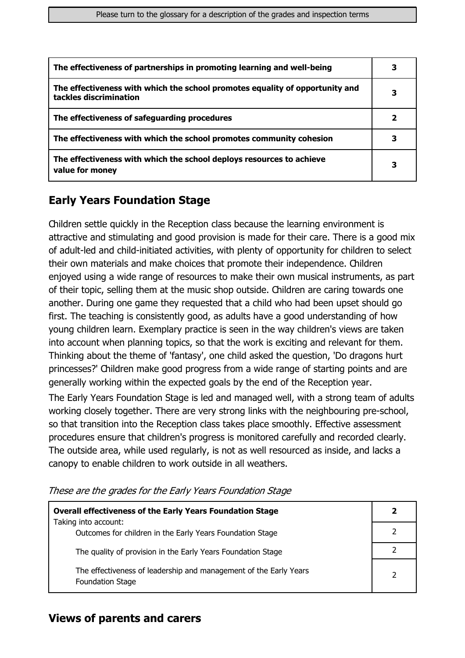| The effectiveness of partnerships in promoting learning and well-being                                 |  |
|--------------------------------------------------------------------------------------------------------|--|
| The effectiveness with which the school promotes equality of opportunity and<br>tackles discrimination |  |
| The effectiveness of safeguarding procedures                                                           |  |
| The effectiveness with which the school promotes community cohesion                                    |  |
| The effectiveness with which the school deploys resources to achieve<br>value for money                |  |

# **Early Years Foundation Stage**

Children settle quickly in the Reception class because the learning environment is attractive and stimulating and good provision is made for their care. There is a good mix of adult-led and child-initiated activities, with plenty of opportunity for children to select their own materials and make choices that promote their independence. Children enjoyed using a wide range of resources to make their own musical instruments, as part of their topic, selling them at the music shop outside. Children are caring towards one another. During one game they requested that a child who had been upset should go first. The teaching is consistently good, as adults have a good understanding of how young children learn. Exemplary practice is seen in the way children's views are taken into account when planning topics, so that the work is exciting and relevant for them. Thinking about the theme of 'fantasy', one child asked the question, 'Do dragons hurt princesses?' Children make good progress from a wide range of starting points and are generally working within the expected goals by the end of the Reception year.

The Early Years Foundation Stage is led and managed well, with a strong team of adults working closely together. There are very strong links with the neighbouring pre-school, so that transition into the Reception class takes place smoothly. Effective assessment procedures ensure that children's progress is monitored carefully and recorded clearly. The outside area, while used regularly, is not as well resourced as inside, and lacks a canopy to enable children to work outside in all weathers.

| <b>Overall effectiveness of the Early Years Foundation Stage</b>                             | $\mathbf{2}$  |
|----------------------------------------------------------------------------------------------|---------------|
| Taking into account:<br>Outcomes for children in the Early Years Foundation Stage            | 2             |
| The quality of provision in the Early Years Foundation Stage                                 |               |
| The effectiveness of leadership and management of the Early Years<br><b>Foundation Stage</b> | $\mathcal{P}$ |

These are the grades for the Early Years Foundation Stage

### **Views of parents and carers**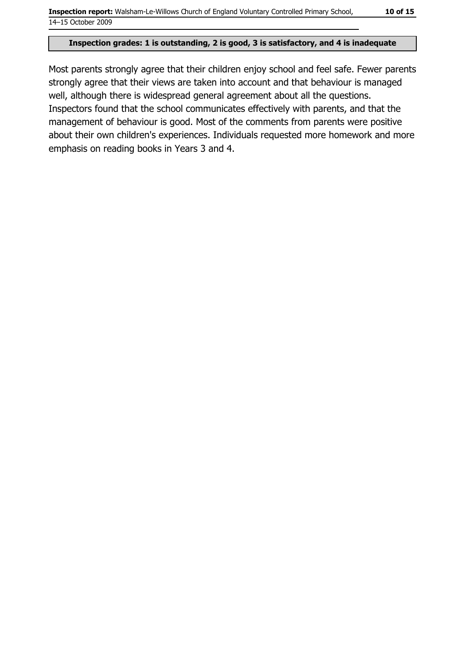Most parents strongly agree that their children enjoy school and feel safe. Fewer parents strongly agree that their views are taken into account and that behaviour is managed well, although there is widespread general agreement about all the questions. Inspectors found that the school communicates effectively with parents, and that the management of behaviour is good. Most of the comments from parents were positive about their own children's experiences. Individuals requested more homework and more emphasis on reading books in Years 3 and 4.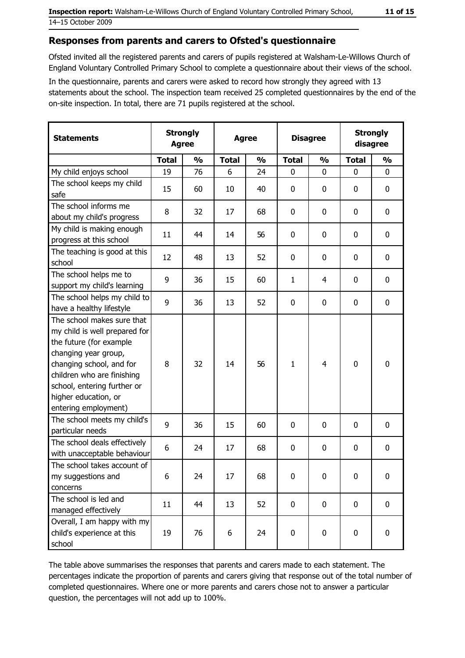#### Responses from parents and carers to Ofsted's questionnaire

Ofsted invited all the registered parents and carers of pupils registered at Walsham-Le-Willows Church of England Voluntary Controlled Primary School to complete a questionnaire about their views of the school.

In the questionnaire, parents and carers were asked to record how strongly they agreed with 13 statements about the school. The inspection team received 25 completed questionnaires by the end of the on-site inspection. In total, there are 71 pupils registered at the school.

| <b>Statements</b>                                                                                                                                                                                                                                       | <b>Strongly</b><br><b>Agree</b> |               | <b>Agree</b> |               | <b>Disagree</b> |               | <b>Strongly</b><br>disagree |               |
|---------------------------------------------------------------------------------------------------------------------------------------------------------------------------------------------------------------------------------------------------------|---------------------------------|---------------|--------------|---------------|-----------------|---------------|-----------------------------|---------------|
|                                                                                                                                                                                                                                                         | <b>Total</b>                    | $\frac{0}{0}$ | <b>Total</b> | $\frac{0}{0}$ | <b>Total</b>    | $\frac{0}{0}$ | <b>Total</b>                | $\frac{0}{0}$ |
| My child enjoys school                                                                                                                                                                                                                                  | 19                              | 76            | 6            | 24            | $\mathbf 0$     | 0             | $\mathbf 0$                 | $\mathbf 0$   |
| The school keeps my child<br>safe                                                                                                                                                                                                                       | 15                              | 60            | 10           | 40            | $\mathbf 0$     | 0             | 0                           | $\bf{0}$      |
| The school informs me<br>about my child's progress                                                                                                                                                                                                      | 8                               | 32            | 17           | 68            | 0               | 0             | 0                           | 0             |
| My child is making enough<br>progress at this school                                                                                                                                                                                                    | 11                              | 44            | 14           | 56            | 0               | 0             | 0                           | 0             |
| The teaching is good at this<br>school                                                                                                                                                                                                                  | 12                              | 48            | 13           | 52            | $\mathbf 0$     | 0             | 0                           | $\mathbf 0$   |
| The school helps me to<br>support my child's learning                                                                                                                                                                                                   | 9                               | 36            | 15           | 60            | $\mathbf{1}$    | 4             | 0                           | 0             |
| The school helps my child to<br>have a healthy lifestyle                                                                                                                                                                                                | 9                               | 36            | 13           | 52            | $\mathbf 0$     | 0             | 0                           | 0             |
| The school makes sure that<br>my child is well prepared for<br>the future (for example<br>changing year group,<br>changing school, and for<br>children who are finishing<br>school, entering further or<br>higher education, or<br>entering employment) | 8                               | 32            | 14           | 56            | $\mathbf{1}$    | 4             | 0                           | $\mathbf 0$   |
| The school meets my child's<br>particular needs                                                                                                                                                                                                         | 9                               | 36            | 15           | 60            | $\mathbf 0$     | 0             | 0                           | 0             |
| The school deals effectively<br>with unacceptable behaviour                                                                                                                                                                                             | 6                               | 24            | 17           | 68            | $\mathbf 0$     | 0             | 0                           | 0             |
| The school takes account of<br>my suggestions and<br>concerns                                                                                                                                                                                           | 6                               | 24            | 17           | 68            | 0               | $\bf{0}$      | 0                           | 0             |
| The school is led and<br>managed effectively                                                                                                                                                                                                            | 11                              | 44            | 13           | 52            | $\mathbf 0$     | $\pmb{0}$     | $\mathbf 0$                 | $\mathbf 0$   |
| Overall, I am happy with my<br>child's experience at this<br>school                                                                                                                                                                                     | 19                              | 76            | 6            | 24            | $\pmb{0}$       | 0             | 0                           | $\mathbf 0$   |

The table above summarises the responses that parents and carers made to each statement. The percentages indicate the proportion of parents and carers giving that response out of the total number of completed questionnaires. Where one or more parents and carers chose not to answer a particular question, the percentages will not add up to 100%.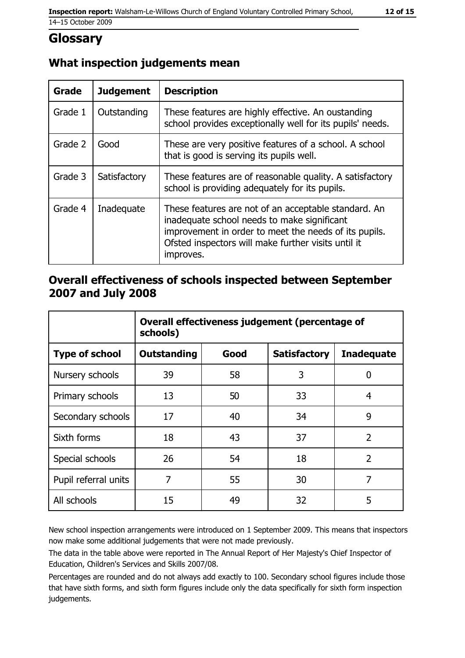# **Glossary**

# What inspection judgements mean

| <b>Grade</b> | <b>Judgement</b> | <b>Description</b>                                                                                                                                                                                                               |
|--------------|------------------|----------------------------------------------------------------------------------------------------------------------------------------------------------------------------------------------------------------------------------|
| Grade 1      | Outstanding      | These features are highly effective. An oustanding<br>school provides exceptionally well for its pupils' needs.                                                                                                                  |
| Grade 2      | Good             | These are very positive features of a school. A school<br>that is good is serving its pupils well.                                                                                                                               |
| Grade 3      | Satisfactory     | These features are of reasonable quality. A satisfactory<br>school is providing adequately for its pupils.                                                                                                                       |
| Grade 4      | Inadequate       | These features are not of an acceptable standard. An<br>inadequate school needs to make significant<br>improvement in order to meet the needs of its pupils.<br>Ofsted inspectors will make further visits until it<br>improves. |

# Overall effectiveness of schools inspected between September 2007 and July 2008

|                       | Overall effectiveness judgement (percentage of<br>schools) |      |                     |                   |
|-----------------------|------------------------------------------------------------|------|---------------------|-------------------|
| <b>Type of school</b> | <b>Outstanding</b>                                         | Good | <b>Satisfactory</b> | <b>Inadequate</b> |
| Nursery schools       | 39                                                         | 58   | 3                   | 0                 |
| Primary schools       | 13                                                         | 50   | 33                  | 4                 |
| Secondary schools     | 17                                                         | 40   | 34                  | 9                 |
| Sixth forms           | 18                                                         | 43   | 37                  | $\overline{2}$    |
| Special schools       | 26                                                         | 54   | 18                  | $\overline{2}$    |
| Pupil referral units  | 7                                                          | 55   | 30                  | 7                 |
| All schools           | 15                                                         | 49   | 32                  | 5                 |

New school inspection arrangements were introduced on 1 September 2009. This means that inspectors now make some additional judgements that were not made previously.

The data in the table above were reported in The Annual Report of Her Majesty's Chief Inspector of Education, Children's Services and Skills 2007/08.

Percentages are rounded and do not always add exactly to 100. Secondary school figures include those that have sixth forms, and sixth form figures include only the data specifically for sixth form inspection judgements.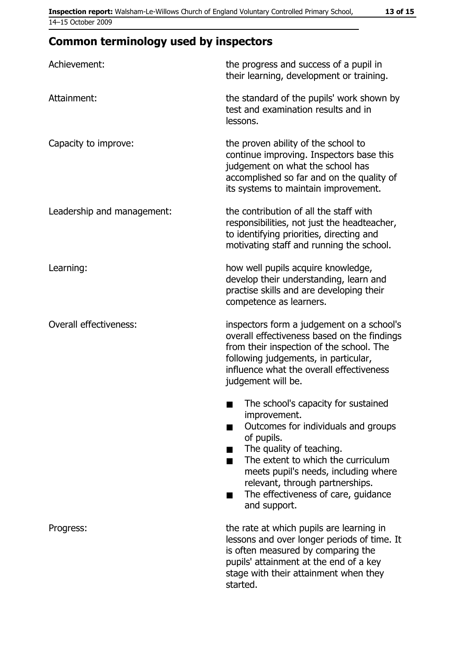| Achievement:               | the progress and success of a pupil in<br>their learning, development or training.                                                                                                                                                                                                                                |
|----------------------------|-------------------------------------------------------------------------------------------------------------------------------------------------------------------------------------------------------------------------------------------------------------------------------------------------------------------|
| Attainment:                | the standard of the pupils' work shown by<br>test and examination results and in<br>lessons.                                                                                                                                                                                                                      |
| Capacity to improve:       | the proven ability of the school to<br>continue improving. Inspectors base this<br>judgement on what the school has<br>accomplished so far and on the quality of<br>its systems to maintain improvement.                                                                                                          |
| Leadership and management: | the contribution of all the staff with<br>responsibilities, not just the headteacher,<br>to identifying priorities, directing and<br>motivating staff and running the school.                                                                                                                                     |
| Learning:                  | how well pupils acquire knowledge,<br>develop their understanding, learn and<br>practise skills and are developing their<br>competence as learners.                                                                                                                                                               |
| Overall effectiveness:     | inspectors form a judgement on a school's<br>overall effectiveness based on the findings<br>from their inspection of the school. The<br>following judgements, in particular,<br>influence what the overall effectiveness<br>judgement will be.                                                                    |
|                            | The school's capacity for sustained<br>improvement.<br>Outcomes for individuals and groups<br>of pupils.<br>The quality of teaching.<br>The extent to which the curriculum<br>meets pupil's needs, including where<br>relevant, through partnerships.<br>The effectiveness of care, guidance<br>■<br>and support. |
| Progress:                  | the rate at which pupils are learning in<br>lessons and over longer periods of time. It<br>is often measured by comparing the<br>pupils' attainment at the end of a key<br>stage with their attainment when they<br>started.                                                                                      |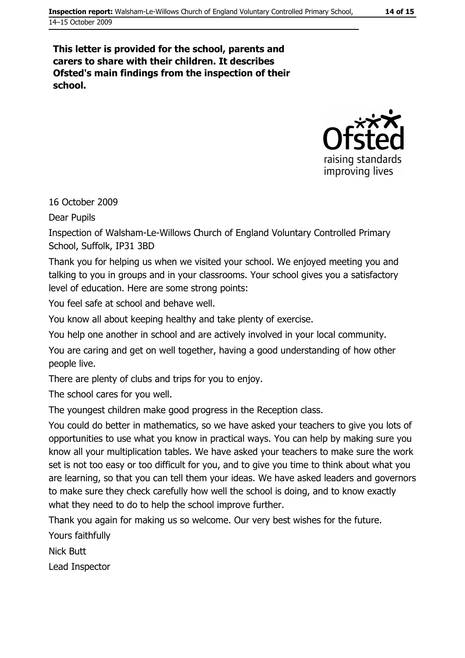#### This letter is provided for the school, parents and carers to share with their children. It describes Ofsted's main findings from the inspection of their school.



16 October 2009

**Dear Pupils** 

Inspection of Walsham-Le-Willows Church of England Voluntary Controlled Primary School, Suffolk, IP31 3BD

Thank you for helping us when we visited your school. We enjoved meeting you and talking to you in groups and in your classrooms. Your school gives you a satisfactory level of education. Here are some strong points:

You feel safe at school and behave well.

You know all about keeping healthy and take plenty of exercise.

You help one another in school and are actively involved in your local community.

You are caring and get on well together, having a good understanding of how other people live.

There are plenty of clubs and trips for you to enjoy.

The school cares for you well.

The voungest children make good progress in the Reception class.

You could do better in mathematics, so we have asked your teachers to give you lots of opportunities to use what you know in practical ways. You can help by making sure you know all your multiplication tables. We have asked your teachers to make sure the work set is not too easy or too difficult for you, and to give you time to think about what you are learning, so that you can tell them your ideas. We have asked leaders and governors to make sure they check carefully how well the school is doing, and to know exactly what they need to do to help the school improve further.

Thank you again for making us so welcome. Our very best wishes for the future.

Yours faithfully

**Nick Butt** 

Lead Inspector